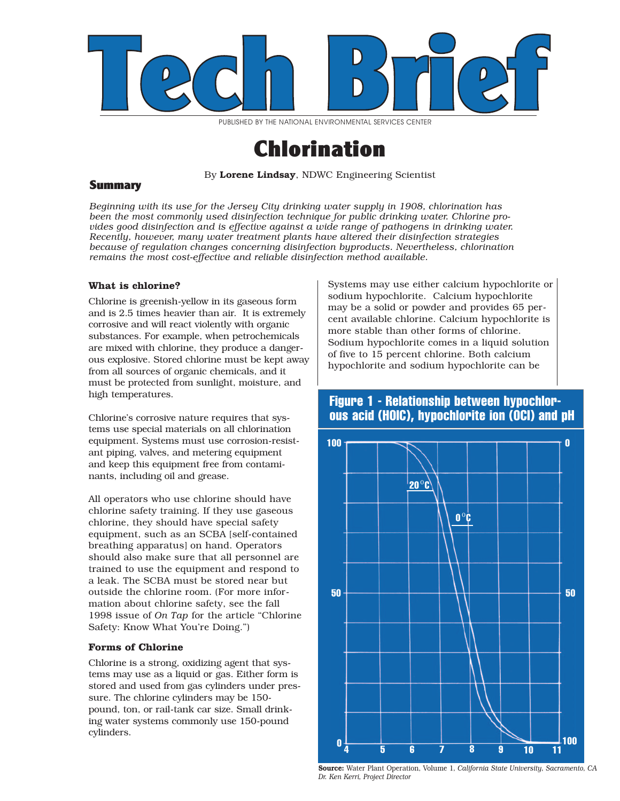

PUBLISHED BY THE NATIONAL ENVIRONMENTAL SERVICES CENTER

# Chlorination

By Lorene Lindsay, NDWC Engineering Scientist

# Summary

*Beginning with its use for the Jersey City drinking water supply in 1908, chlorination has been the most commonly used disinfection technique for public drinking water. Chlorine provides good disinfection and is effective against a wide range of pathogens in drinking water. Recently, however, many water treatment plants have altered their disinfection strategies because of regulation changes concerning disinfection byproducts. Nevertheless, chlorination remains the most cost-effective and reliable disinfection method available.*

# **What is chlorine?**

Chlorine is greenish-yellow in its gaseous form and is 2.5 times heavier than air. It is extremely corrosive and will react violently with organic substances. For example, when petrochemicals are mixed with chlorine, they produce a dangerous explosive. Stored chlorine must be kept away from all sources of organic chemicals, and it must be protected from sunlight, moisture, and high temperatures.

Chlorine's corrosive nature requires that systems use special materials on all chlorination equipment. Systems must use corrosion-resistant piping, valves, and metering equipment and keep this equipment free from contaminants, including oil and grease.

All operators who use chlorine should have chlorine safety training. If they use gaseous chlorine, they should have special safety equipment, such as an SCBA [self-contained breathing apparatus] on hand. Operators should also make sure that all personnel are trained to use the equipment and respond to a leak. The SCBA must be stored near but outside the chlorine room. (For more information about chlorine safety, see the fall 1998 issue of *On Tap* for the article "Chlorine Safety: Know What You're Doing.")

# **Forms of Chlorine**

Chlorine is a strong, oxidizing agent that systems may use as a liquid or gas. Either form is stored and used from gas cylinders under pressure. The chlorine cylinders may be 150 pound, ton, or rail-tank car size. Small drinking water systems commonly use 150-pound cylinders.

Systems may use either calcium hypochlorite or sodium hypochlorite. Calcium hypochlorite may be a solid or powder and provides 65 percent available chlorine. Calcium hypochlorite is more stable than other forms of chlorine. Sodium hypochlorite comes in a liquid solution of five to 15 percent chlorine. Both calcium hypochlorite and sodium hypochlorite can be

# **Figure 1 - Relationship between hypochlorous acid (HOIC), hypochlorite ion (OCI) and pH**



Source: Water Plant Operation, Volume 1*, California State University, Sacramento, CA Dr. Ken Kerri, Project Director*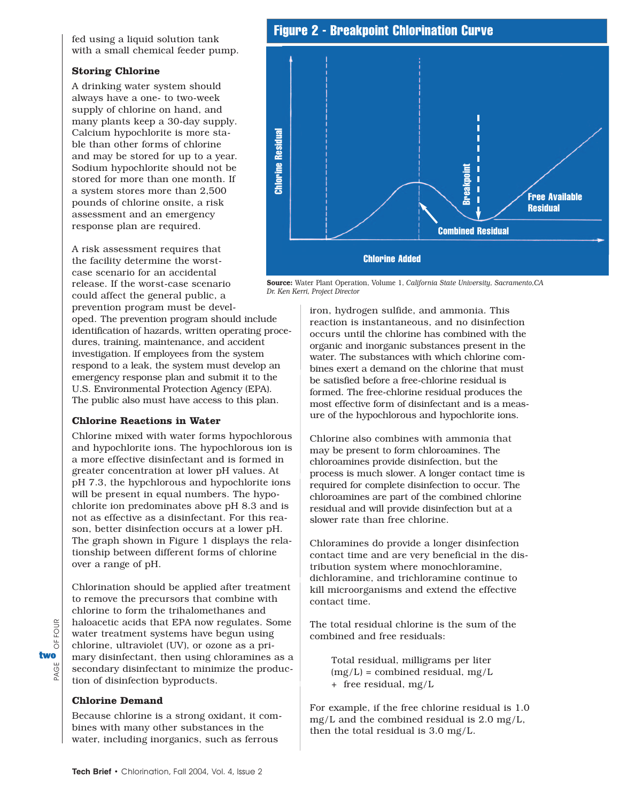fed using a liquid solution tank with a small chemical feeder pump.

# **Storing Chlorine**

A drinking water system should always have a one- to two-week supply of chlorine on hand, and many plants keep a 30-day supply. Calcium hypochlorite is more stable than other forms of chlorine and may be stored for up to a year. Sodium hypochlorite should not be stored for more than one month. If a system stores more than 2,500 pounds of chlorine onsite, a risk assessment and an emergency response plan are required.

A risk assessment requires that the facility determine the worstcase scenario for an accidental release. If the worst-case scenario could affect the general public, a

prevention program must be developed. The prevention program should include identification of hazards, written operating procedures, training, maintenance, and accident investigation. If employees from the system respond to a leak, the system must develop an emergency response plan and submit it to the U.S. Environmental Protection Agency (EPA). The public also must have access to this plan.

#### **Chlorine Reactions in Water**

Chlorine mixed with water forms hypochlorous and hypochlorite ions. The hypochlorous ion is a more effective disinfectant and is formed in greater concentration at lower pH values. At pH 7.3, the hypchlorous and hypochlorite ions will be present in equal numbers. The hypochlorite ion predominates above pH 8.3 and is not as effective as a disinfectant. For this reason, better disinfection occurs at a lower pH. The graph shown in Figure 1 displays the relationship between different forms of chlorine over a range of pH.

Chlorination should be applied after treatment to remove the precursors that combine with chlorine to form the trihalomethanes and haloacetic acids that EPA now regulates. Some water treatment systems have begun using chlorine, ultraviolet (UV), or ozone as a primary disinfectant, then using chloramines as a secondary disinfectant to minimize the production of disinfection byproducts.

# **Chlorine Demand**

Because chlorine is a strong oxidant, it combines with many other substances in the water, including inorganics, such as ferrous



**Combined Residual**

**Chlorine Added**

Source: Water Plant Operation, Volume 1, *California State University, Sacramento,CA Dr. Ken Kerri, Project Director*

iron, hydrogen sulfide, and ammonia. This reaction is instantaneous, and no disinfection occurs until the chlorine has combined with the organic and inorganic substances present in the water. The substances with which chlorine combines exert a demand on the chlorine that must be satisfied before a free-chlorine residual is formed. The free-chlorine residual produces the most effective form of disinfectant and is a measure of the hypochlorous and hypochlorite ions.

Chlorine also combines with ammonia that may be present to form chloroamines. The chloroamines provide disinfection, but the process is much slower. A longer contact time is required for complete disinfection to occur. The chloroamines are part of the combined chlorine residual and will provide disinfection but at a slower rate than free chlorine.

Chloramines do provide a longer disinfection contact time and are very beneficial in the distribution system where monochloramine, dichloramine, and trichloramine continue to kill microorganisms and extend the effective contact time.

The total residual chlorine is the sum of the combined and free residuals:

Total residual, milligrams per liter  $(mg/L) =$  combined residual,  $mg/L$ + free residual, mg/L

For example, if the free chlorine residual is 1.0 mg/L and the combined residual is 2.0 mg/L, then the total residual is 3.0 mg/L.

FOUR PAGE OF FOUR 5 two<br>گ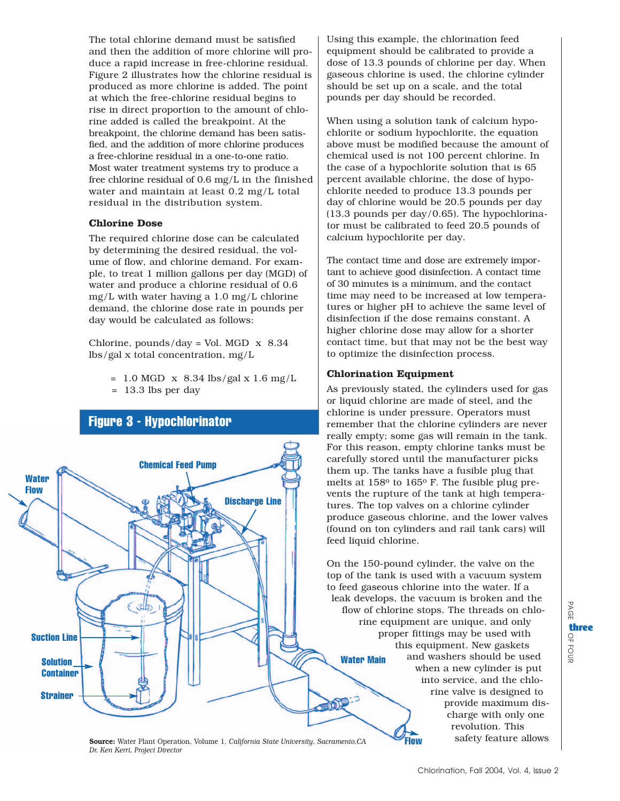The total chlorine demand must be satisfied and then the addition of more chlorine will produce a rapid increase in free-chlorine residual. Figure 2 illustrates how the chlorine residual is produced as more chlorine is added. The point at which the free-chlorine residual begins to rise in direct proportion to the amount of chlorine added is called the breakpoint. At the breakpoint, the chlorine demand has been satisfied, and the addition of more chlorine produces a free-chlorine residual in a one-to-one ratio. Most water treatment systems try to produce a free chlorine residual of 0.6 mg/L in the finished water and maintain at least 0.2 mg/L total residual in the distribution system.

#### **Chlorine Dose**

The required chlorine dose can be calculated by determining the desired residual, the volume of flow, and chlorine demand. For example, to treat 1 million gallons per day (MGD) of water and produce a chlorine residual of 0.6 mg/L with water having a 1.0 mg/L chlorine demand, the chlorine dose rate in pounds per day would be calculated as follows:

Chlorine, pounds/day = Vol. MGD  $\times$  8.34 lbs/gal x total concentration, mg/L

> $= 1.0$  MGD x 8.34 lbs/gal x 1.6 mg/L = 13.3 lbs per day



Using this example, the chlorination feed equipment should be calibrated to provide a dose of 13.3 pounds of chlorine per day. When gaseous chlorine is used, the chlorine cylinder should be set up on a scale, and the total pounds per day should be recorded.

When using a solution tank of calcium hypochlorite or sodium hypochlorite, the equation above must be modified because the amount of chemical used is not 100 percent chlorine. In the case of a hypochlorite solution that is 65 percent available chlorine, the dose of hypochlorite needed to produce 13.3 pounds per day of chlorine would be 20.5 pounds per day (13.3 pounds per day/0.65). The hypochlorinator must be calibrated to feed 20.5 pounds of calcium hypochlorite per day.

The contact time and dose are extremely important to achieve good disinfection. A contact time of 30 minutes is a minimum, and the contact time may need to be increased at low temperatures or higher pH to achieve the same level of disinfection if the dose remains constant. A higher chlorine dose may allow for a shorter contact time, but that may not be the best way to optimize the disinfection process.

# **Chlorination Equipment**

As previously stated, the cylinders used for gas or liquid chlorine are made of steel, and the chlorine is under pressure. Operators must remember that the chlorine cylinders are never really empty; some gas will remain in the tank. For this reason, empty chlorine tanks must be carefully stored until the manufacturer picks them up. The tanks have a fusible plug that melts at 158o to 165o F. The fusible plug prevents the rupture of the tank at high temperatures. The top valves on a chlorine cylinder produce gaseous chlorine, and the lower valves (found on ton cylinders and rail tank cars) will feed liquid chlorine.

On the 150-pound cylinder, the valve on the top of the tank is used with a vacuum system to feed gaseous chlorine into the water. If a leak develops, the vacuum is broken and the flow of chlorine stops. The threads on chlorine equipment are unique, and only proper fittings may be used with this equipment. New gaskets and washers should be used when a new cylinder is put into service, and the chlorine valve is designed to provide maximum discharge with only one revolution. This **Water Main**

**Flow**

Source: Water Plant Operation, Volume 1, *California State University, Sacramento,CA Dr. Ken Kerri, Project Director*

PAGE OF

PAGE

three

FOUR